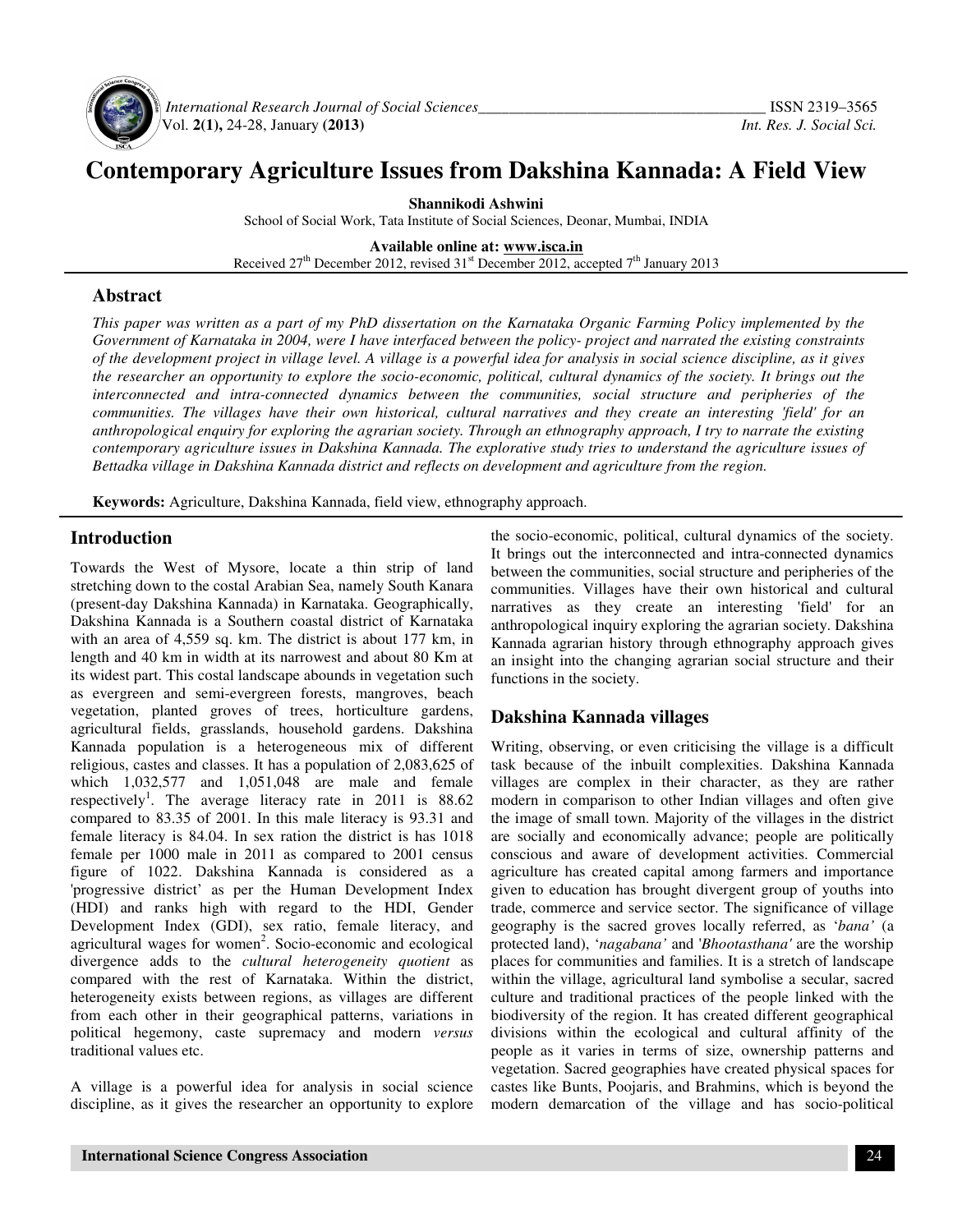

 *International Research Journal of Social Sciences\_\_\_\_\_\_\_\_\_\_\_\_\_\_\_\_\_\_\_\_\_\_\_\_\_\_\_\_\_\_\_\_\_\_\_\_\_* ISSN 2319–3565 Vol. **2(1),** 24-28, January **(2013)** *Int. Res. J. Social Sci.*

# **Contemporary Agriculture Issues from Dakshina Kannada: A Field View**

**Shannikodi Ashwini**  School of Social Work, Tata Institute of Social Sciences, Deonar, Mumbai, INDIA

**Available online at: www.isca.in** Received 27<sup>th</sup> December 2012, revised 31<sup>st</sup> December 2012, accepted 7<sup>th</sup> January 2013

### **Abstract**

*This paper was written as a part of my PhD dissertation on the Karnataka Organic Farming Policy implemented by the Government of Karnataka in 2004, were I have interfaced between the policy- project and narrated the existing constraints of the development project in village level. A village is a powerful idea for analysis in social science discipline, as it gives the researcher an opportunity to explore the socio-economic, political, cultural dynamics of the society. It brings out the interconnected and intra-connected dynamics between the communities, social structure and peripheries of the communities. The villages have their own historical, cultural narratives and they create an interesting 'field' for an anthropological enquiry for exploring the agrarian society. Through an ethnography approach, I try to narrate the existing contemporary agriculture issues in Dakshina Kannada. The explorative study tries to understand the agriculture issues of Bettadka village in Dakshina Kannada district and reflects on development and agriculture from the region.* 

**Keywords:** Agriculture, Dakshina Kannada, field view, ethnography approach.

#### **Introduction**

Towards the West of Mysore, locate a thin strip of land stretching down to the costal Arabian Sea, namely South Kanara (present-day Dakshina Kannada) in Karnataka. Geographically, Dakshina Kannada is a Southern coastal district of Karnataka with an area of 4,559 sq. km. The district is about 177 km, in length and 40 km in width at its narrowest and about 80 Km at its widest part. This costal landscape abounds in vegetation such as evergreen and semi-evergreen forests, mangroves, beach vegetation, planted groves of trees, horticulture gardens, agricultural fields, grasslands, household gardens. Dakshina Kannada population is a heterogeneous mix of different religious, castes and classes. It has a population of 2,083,625 of which 1,032,577 and 1,051,048 are male and female respectively<sup>1</sup>. The average literacy rate in 2011 is  $88.62$ compared to 83.35 of 2001. In this male literacy is 93.31 and female literacy is 84.04. In sex ration the district is has 1018 female per 1000 male in 2011 as compared to 2001 census figure of 1022. Dakshina Kannada is considered as a 'progressive district' as per the Human Development Index (HDI) and ranks high with regard to the HDI, Gender Development Index (GDI), sex ratio, female literacy, and agricultural wages for women<sup>2</sup>. Socio-economic and ecological divergence adds to the *cultural heterogeneity quotient* as compared with the rest of Karnataka. Within the district, heterogeneity exists between regions, as villages are different from each other in their geographical patterns, variations in political hegemony, caste supremacy and modern *versus* traditional values etc.

A village is a powerful idea for analysis in social science discipline, as it gives the researcher an opportunity to explore

the socio-economic, political, cultural dynamics of the society. It brings out the interconnected and intra-connected dynamics between the communities, social structure and peripheries of the communities. Villages have their own historical and cultural narratives as they create an interesting 'field' for an anthropological inquiry exploring the agrarian society. Dakshina Kannada agrarian history through ethnography approach gives an insight into the changing agrarian social structure and their functions in the society.

## **Dakshina Kannada villages**

Writing, observing, or even criticising the village is a difficult task because of the inbuilt complexities. Dakshina Kannada villages are complex in their character, as they are rather modern in comparison to other Indian villages and often give the image of small town. Majority of the villages in the district are socially and economically advance; people are politically conscious and aware of development activities. Commercial agriculture has created capital among farmers and importance given to education has brought divergent group of youths into trade, commerce and service sector. The significance of village geography is the sacred groves locally referred, as '*bana'* (a protected land), '*nagabana'* and '*Bhootasthana'* are the worship places for communities and families. It is a stretch of landscape within the village, agricultural land symbolise a secular, sacred culture and traditional practices of the people linked with the biodiversity of the region. It has created different geographical divisions within the ecological and cultural affinity of the people as it varies in terms of size, ownership patterns and vegetation. Sacred geographies have created physical spaces for castes like Bunts, Poojaris, and Brahmins, which is beyond the modern demarcation of the village and has socio-political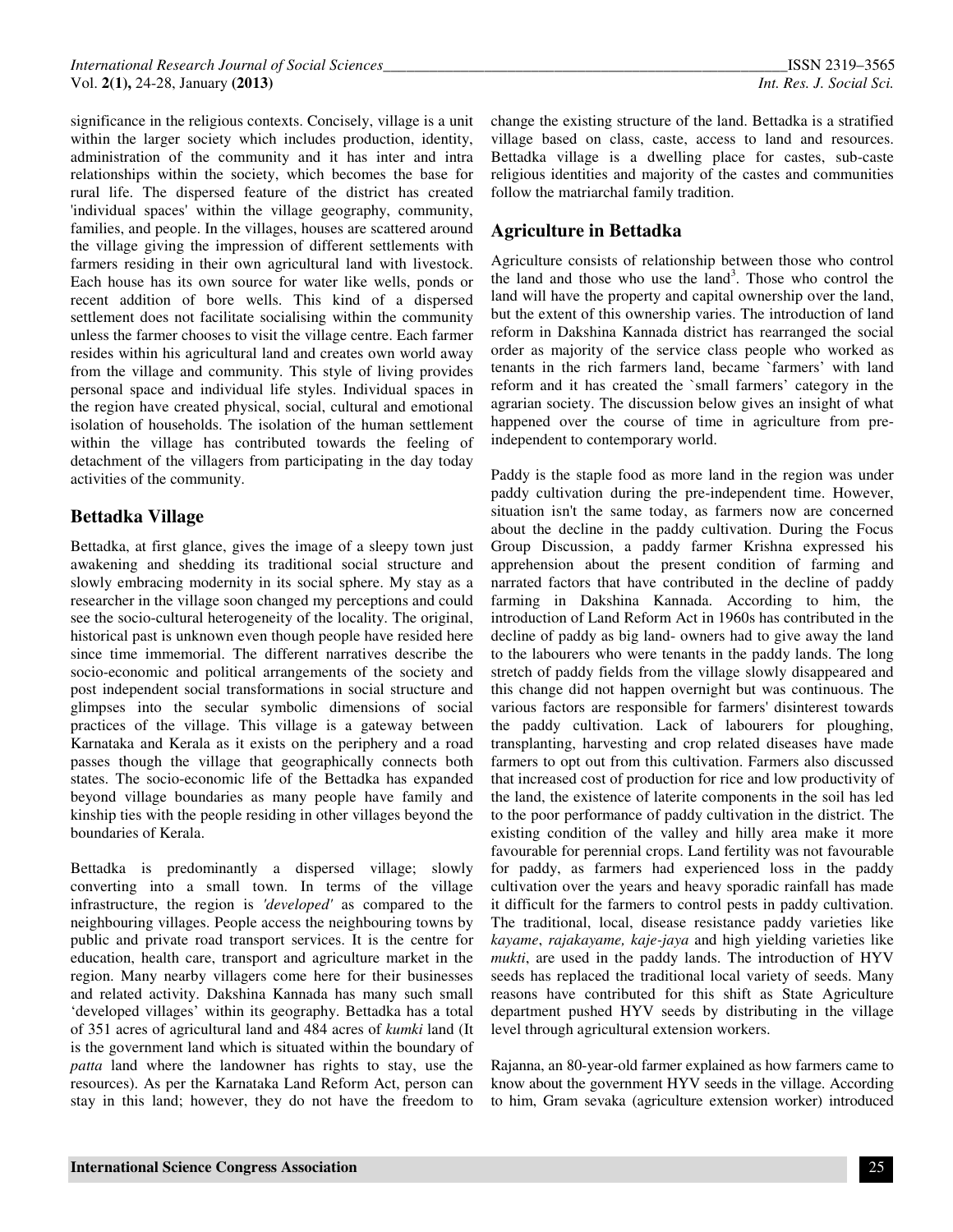significance in the religious contexts. Concisely, village is a unit within the larger society which includes production, identity, administration of the community and it has inter and intra relationships within the society, which becomes the base for rural life. The dispersed feature of the district has created 'individual spaces' within the village geography, community, families, and people. In the villages, houses are scattered around the village giving the impression of different settlements with farmers residing in their own agricultural land with livestock. Each house has its own source for water like wells, ponds or recent addition of bore wells. This kind of a dispersed settlement does not facilitate socialising within the community unless the farmer chooses to visit the village centre. Each farmer resides within his agricultural land and creates own world away from the village and community. This style of living provides personal space and individual life styles. Individual spaces in the region have created physical, social, cultural and emotional isolation of households. The isolation of the human settlement within the village has contributed towards the feeling of detachment of the villagers from participating in the day today activities of the community.

## **Bettadka Village**

Bettadka, at first glance, gives the image of a sleepy town just awakening and shedding its traditional social structure and slowly embracing modernity in its social sphere. My stay as a researcher in the village soon changed my perceptions and could see the socio-cultural heterogeneity of the locality. The original, historical past is unknown even though people have resided here since time immemorial. The different narratives describe the socio-economic and political arrangements of the society and post independent social transformations in social structure and glimpses into the secular symbolic dimensions of social practices of the village. This village is a gateway between Karnataka and Kerala as it exists on the periphery and a road passes though the village that geographically connects both states. The socio-economic life of the Bettadka has expanded beyond village boundaries as many people have family and kinship ties with the people residing in other villages beyond the boundaries of Kerala.

Bettadka is predominantly a dispersed village; slowly converting into a small town. In terms of the village infrastructure, the region is *'developed'* as compared to the neighbouring villages. People access the neighbouring towns by public and private road transport services. It is the centre for education, health care, transport and agriculture market in the region. Many nearby villagers come here for their businesses and related activity. Dakshina Kannada has many such small 'developed villages' within its geography. Bettadka has a total of 351 acres of agricultural land and 484 acres of *kumki* land (It is the government land which is situated within the boundary of *patta* land where the landowner has rights to stay, use the resources). As per the Karnataka Land Reform Act, person can stay in this land; however, they do not have the freedom to

change the existing structure of the land. Bettadka is a stratified village based on class, caste, access to land and resources. Bettadka village is a dwelling place for castes, sub-caste religious identities and majority of the castes and communities follow the matriarchal family tradition.

# **Agriculture in Bettadka**

Agriculture consists of relationship between those who control the land and those who use the land<sup>3</sup>. Those who control the land will have the property and capital ownership over the land, but the extent of this ownership varies. The introduction of land reform in Dakshina Kannada district has rearranged the social order as majority of the service class people who worked as tenants in the rich farmers land, became `farmers' with land reform and it has created the `small farmers' category in the agrarian society. The discussion below gives an insight of what happened over the course of time in agriculture from preindependent to contemporary world.

Paddy is the staple food as more land in the region was under paddy cultivation during the pre-independent time. However, situation isn't the same today, as farmers now are concerned about the decline in the paddy cultivation. During the Focus Group Discussion, a paddy farmer Krishna expressed his apprehension about the present condition of farming and narrated factors that have contributed in the decline of paddy farming in Dakshina Kannada. According to him, the introduction of Land Reform Act in 1960s has contributed in the decline of paddy as big land- owners had to give away the land to the labourers who were tenants in the paddy lands. The long stretch of paddy fields from the village slowly disappeared and this change did not happen overnight but was continuous. The various factors are responsible for farmers' disinterest towards the paddy cultivation. Lack of labourers for ploughing, transplanting, harvesting and crop related diseases have made farmers to opt out from this cultivation. Farmers also discussed that increased cost of production for rice and low productivity of the land, the existence of laterite components in the soil has led to the poor performance of paddy cultivation in the district. The existing condition of the valley and hilly area make it more favourable for perennial crops. Land fertility was not favourable for paddy, as farmers had experienced loss in the paddy cultivation over the years and heavy sporadic rainfall has made it difficult for the farmers to control pests in paddy cultivation. The traditional, local, disease resistance paddy varieties like *kayame*, *rajakayame, kaje-jaya* and high yielding varieties like *mukti*, are used in the paddy lands. The introduction of HYV seeds has replaced the traditional local variety of seeds. Many reasons have contributed for this shift as State Agriculture department pushed HYV seeds by distributing in the village level through agricultural extension workers.

Rajanna, an 80-year-old farmer explained as how farmers came to know about the government HYV seeds in the village. According to him, Gram sevaka (agriculture extension worker) introduced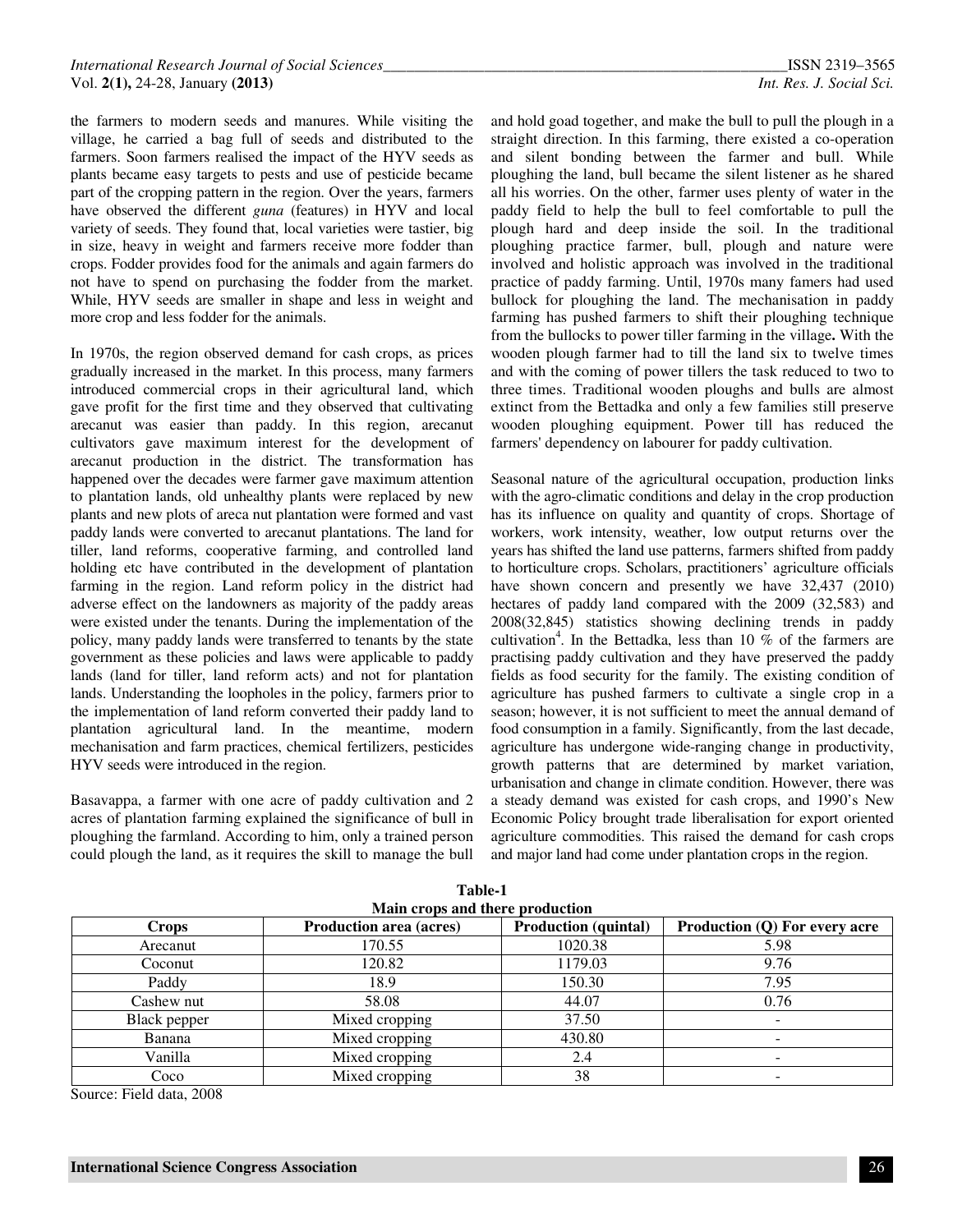the farmers to modern seeds and manures. While visiting the village, he carried a bag full of seeds and distributed to the farmers. Soon farmers realised the impact of the HYV seeds as plants became easy targets to pests and use of pesticide became part of the cropping pattern in the region. Over the years, farmers have observed the different *guna* (features) in HYV and local variety of seeds. They found that, local varieties were tastier, big in size, heavy in weight and farmers receive more fodder than crops. Fodder provides food for the animals and again farmers do not have to spend on purchasing the fodder from the market. While, HYV seeds are smaller in shape and less in weight and more crop and less fodder for the animals.

In 1970s, the region observed demand for cash crops, as prices gradually increased in the market. In this process, many farmers introduced commercial crops in their agricultural land, which gave profit for the first time and they observed that cultivating arecanut was easier than paddy. In this region, arecanut cultivators gave maximum interest for the development of arecanut production in the district. The transformation has happened over the decades were farmer gave maximum attention to plantation lands, old unhealthy plants were replaced by new plants and new plots of areca nut plantation were formed and vast paddy lands were converted to arecanut plantations. The land for tiller, land reforms, cooperative farming, and controlled land holding etc have contributed in the development of plantation farming in the region. Land reform policy in the district had adverse effect on the landowners as majority of the paddy areas were existed under the tenants. During the implementation of the policy, many paddy lands were transferred to tenants by the state government as these policies and laws were applicable to paddy lands (land for tiller, land reform acts) and not for plantation lands. Understanding the loopholes in the policy, farmers prior to the implementation of land reform converted their paddy land to plantation agricultural land. In the meantime, modern mechanisation and farm practices, chemical fertilizers, pesticides HYV seeds were introduced in the region.

Basavappa, a farmer with one acre of paddy cultivation and 2 acres of plantation farming explained the significance of bull in ploughing the farmland. According to him, only a trained person could plough the land, as it requires the skill to manage the bull

and hold goad together, and make the bull to pull the plough in a straight direction. In this farming, there existed a co-operation and silent bonding between the farmer and bull. While ploughing the land, bull became the silent listener as he shared all his worries. On the other, farmer uses plenty of water in the paddy field to help the bull to feel comfortable to pull the plough hard and deep inside the soil. In the traditional ploughing practice farmer, bull, plough and nature were involved and holistic approach was involved in the traditional practice of paddy farming. Until, 1970s many famers had used bullock for ploughing the land. The mechanisation in paddy farming has pushed farmers to shift their ploughing technique from the bullocks to power tiller farming in the village**.** With the wooden plough farmer had to till the land six to twelve times and with the coming of power tillers the task reduced to two to three times. Traditional wooden ploughs and bulls are almost extinct from the Bettadka and only a few families still preserve wooden ploughing equipment. Power till has reduced the farmers' dependency on labourer for paddy cultivation.

Seasonal nature of the agricultural occupation, production links with the agro-climatic conditions and delay in the crop production has its influence on quality and quantity of crops. Shortage of workers, work intensity, weather, low output returns over the years has shifted the land use patterns, farmers shifted from paddy to horticulture crops. Scholars, practitioners' agriculture officials have shown concern and presently we have  $32,437$  (2010) hectares of paddy land compared with the 2009 (32,583) and 2008(32,845) statistics showing declining trends in paddy cultivation<sup>4</sup>. In the Bettadka, less than 10  $\%$  of the farmers are practising paddy cultivation and they have preserved the paddy fields as food security for the family. The existing condition of agriculture has pushed farmers to cultivate a single crop in a season; however, it is not sufficient to meet the annual demand of food consumption in a family. Significantly, from the last decade, agriculture has undergone wide-ranging change in productivity, growth patterns that are determined by market variation, urbanisation and change in climate condition. However, there was a steady demand was existed for cash crops, and 1990's New Economic Policy brought trade liberalisation for export oriented agriculture commodities. This raised the demand for cash crops and major land had come under plantation crops in the region.

| Main crops and there production |                                |                             |                               |
|---------------------------------|--------------------------------|-----------------------------|-------------------------------|
| <b>Crops</b>                    | <b>Production area (acres)</b> | <b>Production (quintal)</b> | Production (Q) For every acre |
| Arecanut                        | 170.55                         | 1020.38                     | 5.98                          |
| Coconut                         | 120.82                         | 1179.03                     | 9.76                          |
| Paddy                           | 18.9                           | 150.30                      | 7.95                          |
| Cashew nut                      | 58.08                          | 44.07                       | 0.76                          |
| Black pepper                    | Mixed cropping                 | 37.50                       | $\overline{\phantom{a}}$      |
| Banana                          | Mixed cropping                 | 430.80                      | $\overline{\phantom{0}}$      |
| Vanilla                         | Mixed cropping                 | 2.4                         |                               |
| Coco                            | Mixed cropping                 | 38                          |                               |

**Table-1** 

Source: Field data, 2008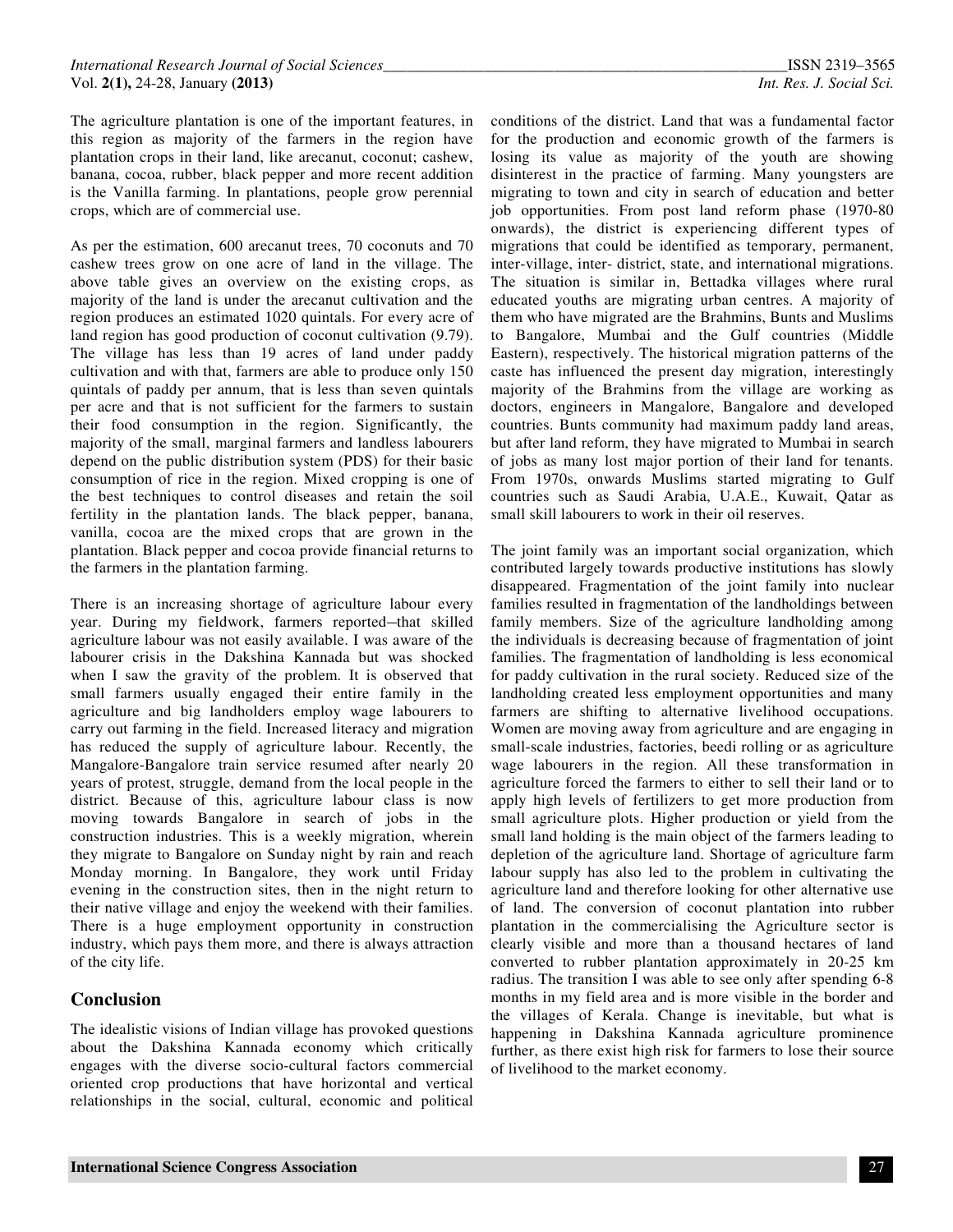The agriculture plantation is one of the important features, in this region as majority of the farmers in the region have plantation crops in their land, like arecanut, coconut; cashew, banana, cocoa, rubber, black pepper and more recent addition is the Vanilla farming. In plantations, people grow perennial crops, which are of commercial use.

As per the estimation, 600 arecanut trees, 70 coconuts and 70 cashew trees grow on one acre of land in the village. The above table gives an overview on the existing crops, as majority of the land is under the arecanut cultivation and the region produces an estimated 1020 quintals. For every acre of land region has good production of coconut cultivation (9.79). The village has less than 19 acres of land under paddy cultivation and with that, farmers are able to produce only 150 quintals of paddy per annum, that is less than seven quintals per acre and that is not sufficient for the farmers to sustain their food consumption in the region. Significantly, the majority of the small, marginal farmers and landless labourers depend on the public distribution system (PDS) for their basic consumption of rice in the region. Mixed cropping is one of the best techniques to control diseases and retain the soil fertility in the plantation lands. The black pepper, banana, vanilla, cocoa are the mixed crops that are grown in the plantation. Black pepper and cocoa provide financial returns to the farmers in the plantation farming.

There is an increasing shortage of agriculture labour every year. During my fieldwork, farmers reported-that skilled agriculture labour was not easily available. I was aware of the labourer crisis in the Dakshina Kannada but was shocked when I saw the gravity of the problem. It is observed that small farmers usually engaged their entire family in the agriculture and big landholders employ wage labourers to carry out farming in the field. Increased literacy and migration has reduced the supply of agriculture labour. Recently, the Mangalore-Bangalore train service resumed after nearly 20 years of protest, struggle, demand from the local people in the district. Because of this, agriculture labour class is now moving towards Bangalore in search of jobs in the construction industries. This is a weekly migration, wherein they migrate to Bangalore on Sunday night by rain and reach Monday morning. In Bangalore, they work until Friday evening in the construction sites, then in the night return to their native village and enjoy the weekend with their families. There is a huge employment opportunity in construction industry, which pays them more, and there is always attraction of the city life.

## **Conclusion**

The idealistic visions of Indian village has provoked questions about the Dakshina Kannada economy which critically engages with the diverse socio-cultural factors commercial oriented crop productions that have horizontal and vertical relationships in the social, cultural, economic and political conditions of the district. Land that was a fundamental factor for the production and economic growth of the farmers is losing its value as majority of the youth are showing disinterest in the practice of farming. Many youngsters are migrating to town and city in search of education and better job opportunities. From post land reform phase (1970-80 onwards), the district is experiencing different types of migrations that could be identified as temporary, permanent, inter-village, inter- district, state, and international migrations. The situation is similar in, Bettadka villages where rural educated youths are migrating urban centres. A majority of them who have migrated are the Brahmins, Bunts and Muslims to Bangalore, Mumbai and the Gulf countries (Middle Eastern), respectively. The historical migration patterns of the caste has influenced the present day migration, interestingly majority of the Brahmins from the village are working as doctors, engineers in Mangalore, Bangalore and developed countries. Bunts community had maximum paddy land areas, but after land reform, they have migrated to Mumbai in search of jobs as many lost major portion of their land for tenants. From 1970s, onwards Muslims started migrating to Gulf countries such as Saudi Arabia, U.A.E., Kuwait, Qatar as small skill labourers to work in their oil reserves.

The joint family was an important social organization, which contributed largely towards productive institutions has slowly disappeared. Fragmentation of the joint family into nuclear families resulted in fragmentation of the landholdings between family members. Size of the agriculture landholding among the individuals is decreasing because of fragmentation of joint families. The fragmentation of landholding is less economical for paddy cultivation in the rural society. Reduced size of the landholding created less employment opportunities and many farmers are shifting to alternative livelihood occupations. Women are moving away from agriculture and are engaging in small-scale industries, factories, beedi rolling or as agriculture wage labourers in the region. All these transformation in agriculture forced the farmers to either to sell their land or to apply high levels of fertilizers to get more production from small agriculture plots. Higher production or yield from the small land holding is the main object of the farmers leading to depletion of the agriculture land. Shortage of agriculture farm labour supply has also led to the problem in cultivating the agriculture land and therefore looking for other alternative use of land. The conversion of coconut plantation into rubber plantation in the commercialising the Agriculture sector is clearly visible and more than a thousand hectares of land converted to rubber plantation approximately in 20-25 km radius. The transition I was able to see only after spending 6-8 months in my field area and is more visible in the border and the villages of Kerala. Change is inevitable, but what is happening in Dakshina Kannada agriculture prominence further, as there exist high risk for farmers to lose their source of livelihood to the market economy.